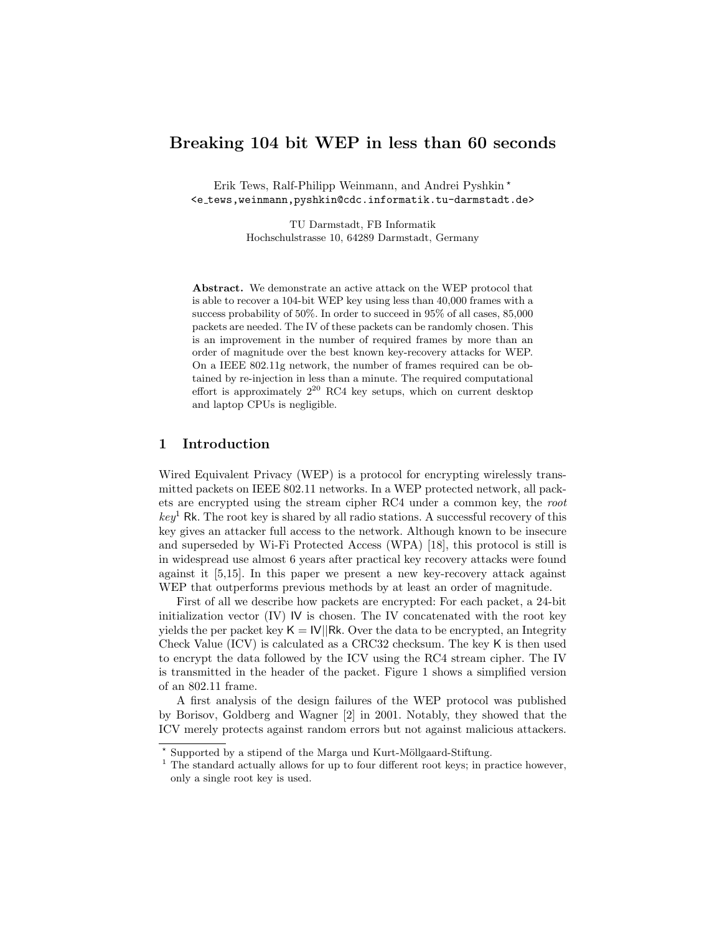# Breaking 104 bit WEP in less than 60 seconds

Erik Tews, Ralf-Philipp Weinmann, and Andrei Pyshkin<sup>\*</sup> <e tews,weinmann,pyshkin@cdc.informatik.tu-darmstadt.de>

> TU Darmstadt, FB Informatik Hochschulstrasse 10, 64289 Darmstadt, Germany

Abstract. We demonstrate an active attack on the WEP protocol that is able to recover a 104-bit WEP key using less than 40,000 frames with a success probability of 50%. In order to succeed in 95% of all cases, 85,000 packets are needed. The IV of these packets can be randomly chosen. This is an improvement in the number of required frames by more than an order of magnitude over the best known key-recovery attacks for WEP. On a IEEE 802.11g network, the number of frames required can be obtained by re-injection in less than a minute. The required computational effort is approximately  $2^{20}$  RC4 key setups, which on current desktop and laptop CPUs is negligible.

# 1 Introduction

Wired Equivalent Privacy (WEP) is a protocol for encrypting wirelessly transmitted packets on IEEE 802.11 networks. In a WEP protected network, all packets are encrypted using the stream cipher RC4 under a common key, the root  $key<sup>1</sup>$  Rk. The root key is shared by all radio stations. A successful recovery of this key gives an attacker full access to the network. Although known to be insecure and superseded by Wi-Fi Protected Access (WPA) [18], this protocol is still is in widespread use almost 6 years after practical key recovery attacks were found against it [5,15]. In this paper we present a new key-recovery attack against WEP that outperforms previous methods by at least an order of magnitude.

First of all we describe how packets are encrypted: For each packet, a 24-bit initialization vector (IV) IV is chosen. The IV concatenated with the root key yields the per packet key  $K = |V||Rk$ . Over the data to be encrypted, an Integrity Check Value (ICV) is calculated as a CRC32 checksum. The key K is then used to encrypt the data followed by the ICV using the RC4 stream cipher. The IV is transmitted in the header of the packet. Figure 1 shows a simplified version of an 802.11 frame.

A first analysis of the design failures of the WEP protocol was published by Borisov, Goldberg and Wagner [2] in 2001. Notably, they showed that the ICV merely protects against random errors but not against malicious attackers.

<sup>\*</sup> Supported by a stipend of the Marga und Kurt-Möllgaard-Stiftung.

<sup>&</sup>lt;sup>1</sup> The standard actually allows for up to four different root keys; in practice however, only a single root key is used.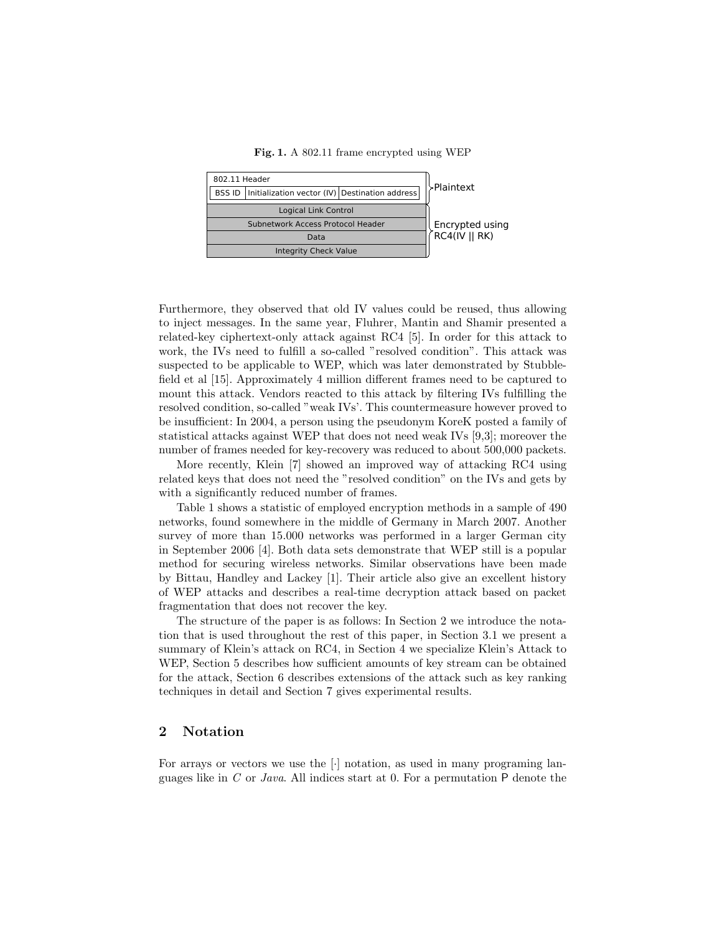Fig. 1. A 802.11 frame encrypted using WEP



Furthermore, they observed that old IV values could be reused, thus allowing to inject messages. In the same year, Fluhrer, Mantin and Shamir presented a related-key ciphertext-only attack against RC4 [5]. In order for this attack to work, the IVs need to fulfill a so-called "resolved condition". This attack was suspected to be applicable to WEP, which was later demonstrated by Stubblefield et al [15]. Approximately 4 million different frames need to be captured to mount this attack. Vendors reacted to this attack by filtering IVs fulfilling the resolved condition, so-called "weak IVs'. This countermeasure however proved to be insufficient: In 2004, a person using the pseudonym KoreK posted a family of statistical attacks against WEP that does not need weak IVs [9,3]; moreover the number of frames needed for key-recovery was reduced to about 500,000 packets.

More recently, Klein [7] showed an improved way of attacking RC4 using related keys that does not need the "resolved condition" on the IVs and gets by with a significantly reduced number of frames.

Table 1 shows a statistic of employed encryption methods in a sample of 490 networks, found somewhere in the middle of Germany in March 2007. Another survey of more than 15.000 networks was performed in a larger German city in September 2006 [4]. Both data sets demonstrate that WEP still is a popular method for securing wireless networks. Similar observations have been made by Bittau, Handley and Lackey [1]. Their article also give an excellent history of WEP attacks and describes a real-time decryption attack based on packet fragmentation that does not recover the key.

The structure of the paper is as follows: In Section 2 we introduce the notation that is used throughout the rest of this paper, in Section 3.1 we present a summary of Klein's attack on RC4, in Section 4 we specialize Klein's Attack to WEP, Section 5 describes how sufficient amounts of key stream can be obtained for the attack, Section 6 describes extensions of the attack such as key ranking techniques in detail and Section 7 gives experimental results.

# 2 Notation

For arrays or vectors we use the [·] notation, as used in many programing languages like in  $C$  or Java. All indices start at 0. For a permutation  $P$  denote the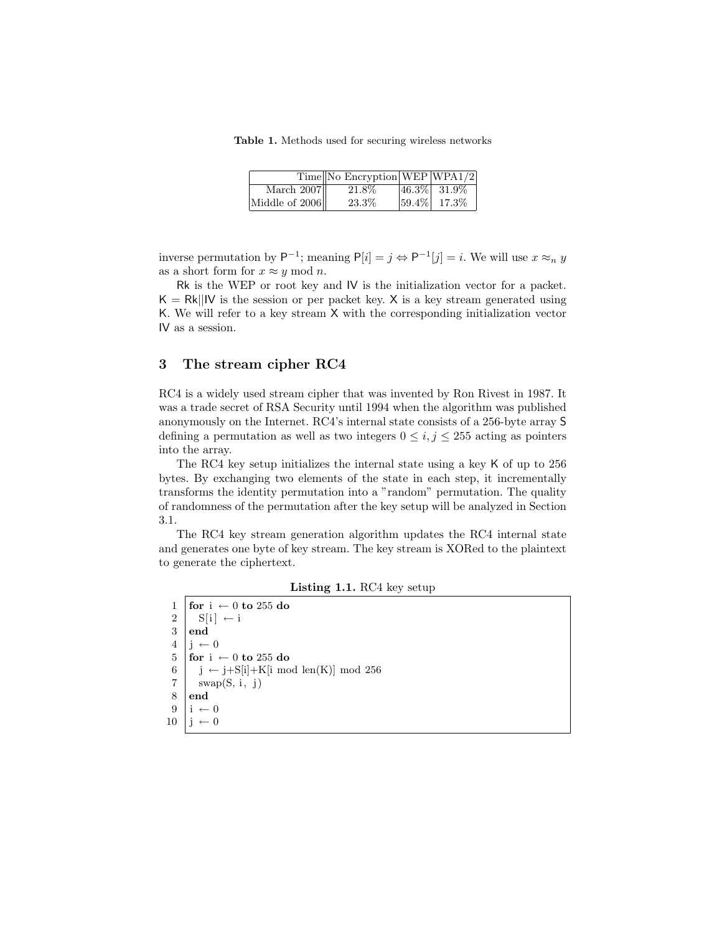Table 1. Methods used for securing wireless networks

|                | $Time \sim$ Encryption WEP WPA1/2 |                  |
|----------------|-----------------------------------|------------------|
| March $2007$   | 21.8%                             | $ 46.3\% $ 31.9% |
| Middle of 2006 | 23.3%                             | $ 59.4\% $ 17.3% |

inverse permutation by  $P^{-1}$ ; meaning  $P[i] = j \Leftrightarrow P^{-1}[j] = i$ . We will use  $x \approx_n y$ as a short form for  $x \approx y \mod n$ .

Rk is the WEP or root key and IV is the initialization vector for a packet.  $K = Rk||W$  is the session or per packet key. X is a key stream generated using K. We will refer to a key stream X with the corresponding initialization vector IV as a session.

## 3 The stream cipher RC4

RC4 is a widely used stream cipher that was invented by Ron Rivest in 1987. It was a trade secret of RSA Security until 1994 when the algorithm was published anonymously on the Internet. RC4's internal state consists of a 256-byte array S defining a permutation as well as two integers  $0 \leq i, j \leq 255$  acting as pointers into the array.

The RC4 key setup initializes the internal state using a key K of up to 256 bytes. By exchanging two elements of the state in each step, it incrementally transforms the identity permutation into a "random" permutation. The quality of randomness of the permutation after the key setup will be analyzed in Section 3.1.

The RC4 key stream generation algorithm updates the RC4 internal state and generates one byte of key stream. The key stream is XORed to the plaintext to generate the ciphertext.

Listing 1.1. RC4 key setup

| $\begin{array}{c c}\n1 & \text{for } i \leftarrow 0 \text{ to } 255 \text{ do} \\ 2 & \text{S}[i] \leftarrow i \\ 3 & \text{end}\n\end{array}$                                                                                                                                                                        |
|-----------------------------------------------------------------------------------------------------------------------------------------------------------------------------------------------------------------------------------------------------------------------------------------------------------------------|
|                                                                                                                                                                                                                                                                                                                       |
|                                                                                                                                                                                                                                                                                                                       |
|                                                                                                                                                                                                                                                                                                                       |
| 4 $\begin{vmatrix} 1 & -0 \\ 5 & \text{for } i \end{vmatrix}$ + 0 to 255 do<br>$\begin{vmatrix} 1 & -1 \\ -1 & -1 \end{vmatrix}$                                                                                                                                                                                      |
| $\begin{array}{c l}\n 3 & \text{for } i \leftarrow 0 \text{ to } 255 \text{ dc} \\  6 & \text{j} \leftarrow \text{j} + \text{S}[\text{i}] + \text{K}[\text{i} \mod \text{len(K)}] \mod 256 \\  7 & \text{swap}(S, i, j) \\  8 & \text{end} \\  9 & \text{i} \leftarrow 0 \\  10 & \text{j} \leftarrow 0\n\end{array}$ |
|                                                                                                                                                                                                                                                                                                                       |
|                                                                                                                                                                                                                                                                                                                       |
|                                                                                                                                                                                                                                                                                                                       |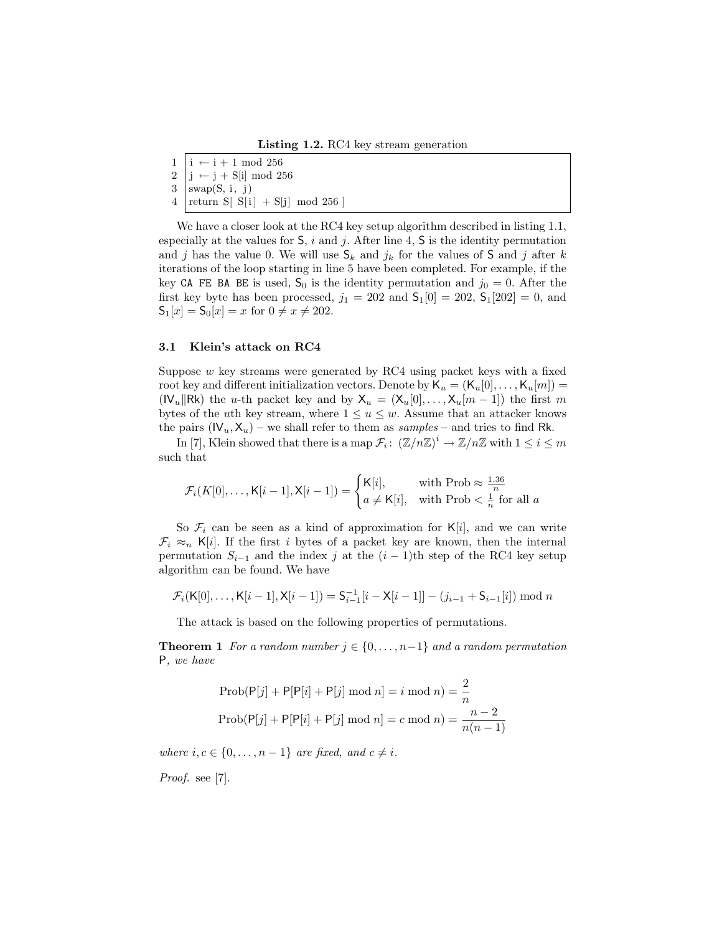Listing 1.2. RC4 key stream generation

 $1 \mid i \leftarrow i + 1 \mod 256$  $2 \mid j \leftarrow j + S[i] \mod 256$  $3$  swap(S, i, j) 4 | return S[  $S[i]$  + S[j] mod 256 ]

We have a closer look at the RC4 key setup algorithm described in listing 1.1, especially at the values for  $S$ , i and j. After line 4,  $S$  is the identity permutation and j has the value 0. We will use  $\mathsf{S}_k$  and  $j_k$  for the values of S and j after k iterations of the loop starting in line 5 have been completed. For example, if the key CA FE BA BE is used,  $S_0$  is the identity permutation and  $j_0 = 0$ . After the first key byte has been processed,  $j_1 = 202$  and  $S_1[0] = 202$ ,  $S_1[202] = 0$ , and  $S_1[x] = S_0[x] = x$  for  $0 \neq x \neq 202$ .

#### 3.1 Klein's attack on RC4

Suppose  $w$  key streams were generated by RC4 using packet keys with a fixed root key and different initialization vectors. Denote by  $\mathsf{K}_u = (\mathsf{K}_u[0], \ldots, \mathsf{K}_u[m]) =$ ( $\mathsf{IV}_u\|\mathsf{Rk}$ ) the u-th packet key and by  $X_u = (X_u[0], \ldots, X_u[m-1])$  the first m bytes of the uth key stream, where  $1 \le u \le w$ . Assume that an attacker knows the pairs  $(V_u, X_u)$  – we shall refer to them as samples – and tries to find Rk.

In [7], Klein showed that there is a map  $\mathcal{F}_i$ :  $(\mathbb{Z}/n\mathbb{Z})^i \to \mathbb{Z}/n\mathbb{Z}$  with  $1 \le i \le m$ such that

$$
\mathcal{F}_i(K[0], \dots, \mathsf{K}[i-1], \mathsf{X}[i-1]) = \begin{cases} \mathsf{K}[i], & \text{with Prob} \approx \frac{1.36}{n} \\ a \neq \mathsf{K}[i], & \text{with Prob} < \frac{1}{n} \text{ for all } a \end{cases}
$$

So  $\mathcal{F}_i$  can be seen as a kind of approximation for  $K[i]$ , and we can write  $\mathcal{F}_i \approx_n K[i]$ . If the first i bytes of a packet key are known, then the internal permutation  $S_{i-1}$  and the index j at the  $(i-1)$ th step of the RC4 key setup algorithm can be found. We have

$$
\mathcal{F}_i(K[0], \ldots, K[i-1], X[i-1]) = S_{i-1}^{-1}[i - X[i-1]] - (j_{i-1} + S_{i-1}[i]) \bmod n
$$

The attack is based on the following properties of permutations.

**Theorem 1** For a random number  $j \in \{0, \ldots, n-1\}$  and a random permutation P, we have

$$
\text{Prob}(\mathsf{P}[j] + \mathsf{P}[\mathsf{P}[i] + \mathsf{P}[j] \mod n] = i \mod n) = \frac{2}{n}
$$
\n
$$
\text{Prob}(\mathsf{P}[j] + \mathsf{P}[\mathsf{P}[i] + \mathsf{P}[j] \mod n] = c \mod n) = \frac{n-2}{n(n-1)}
$$

where  $i, c \in \{0, \ldots, n-1\}$  are fixed, and  $c \neq i$ .

Proof. see [7].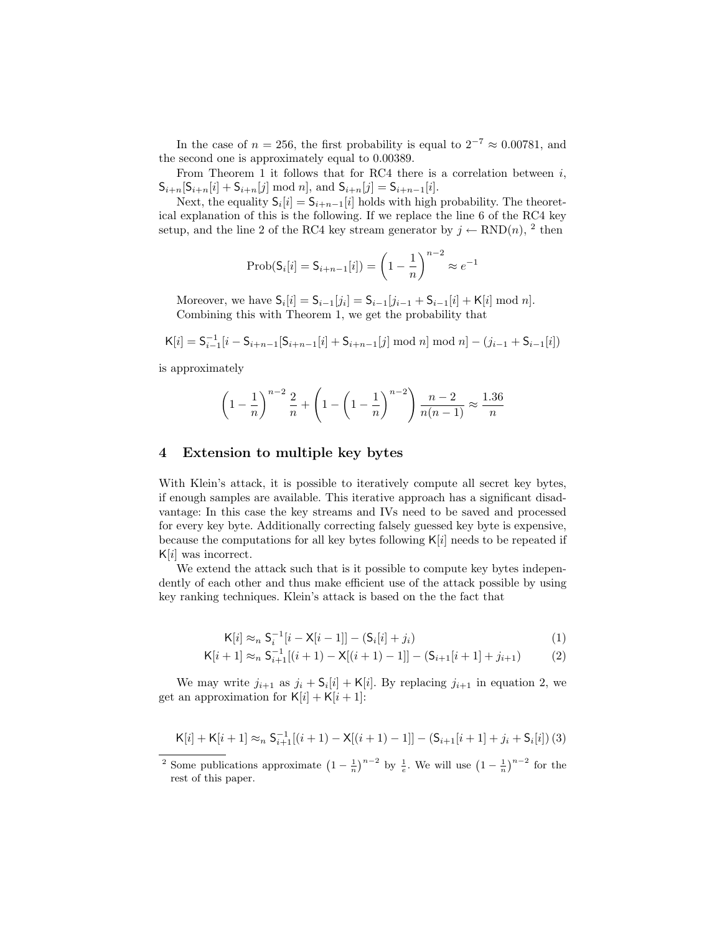In the case of  $n = 256$ , the first probability is equal to  $2^{-7} \approx 0.00781$ , and the second one is approximately equal to 0.00389.

From Theorem 1 it follows that for RC4 there is a correlation between  $i$ ,  $S_{i+n}[S_{i+n}[i] + S_{i+n}[j] \mod n]$ , and  $S_{i+n}[j] = S_{i+n-1}[i]$ .

Next, the equality  $S_i[i] = S_{i+n-1}[i]$  holds with high probability. The theoretical explanation of this is the following. If we replace the line 6 of the RC4 key setup, and the line 2 of the RC4 key stream generator by  $j \leftarrow RND(n)$ , <sup>2</sup> then

$$
Prob(S_i[i] = S_{i+n-1}[i]) = \left(1 - \frac{1}{n}\right)^{n-2} \approx e^{-1}
$$

Moreover, we have  $S_i[i] = S_{i-1}[j_i] = S_{i-1}[j_{i-1} + S_{i-1}[i] + K[i] \mod n].$ Combining this with Theorem 1, we get the probability that

$$
K[i] = S_{i-1}^{-1}[i - S_{i+n-1}[S_{i+n-1}[i] + S_{i+n-1}[j] \mod n] \mod n] - (j_{i-1} + S_{i-1}[i])
$$

is approximately

$$
\left(1 - \frac{1}{n}\right)^{n-2} \frac{2}{n} + \left(1 - \left(1 - \frac{1}{n}\right)^{n-2}\right) \frac{n-2}{n(n-1)} \approx \frac{1.36}{n}
$$

# 4 Extension to multiple key bytes

With Klein's attack, it is possible to iteratively compute all secret key bytes, if enough samples are available. This iterative approach has a significant disadvantage: In this case the key streams and IVs need to be saved and processed for every key byte. Additionally correcting falsely guessed key byte is expensive, because the computations for all key bytes following  $K[i]$  needs to be repeated if  $K[i]$  was incorrect.

We extend the attack such that is it possible to compute key bytes independently of each other and thus make efficient use of the attack possible by using key ranking techniques. Klein's attack is based on the the fact that

$$
K[i] \approx_{n} S_{i}^{-1}[i - X[i-1]] - (S_{i}[i] + j_{i})
$$
\n(1)

$$
K[i+1] \approx_{n} S_{i+1}^{-1}[(i+1) - X[(i+1) - 1]] - (S_{i+1}[i+1] + j_{i+1})
$$
 (2)

We may write  $j_{i+1}$  as  $j_i + \mathsf{S}_i[i] + \mathsf{K}[i]$ . By replacing  $j_{i+1}$  in equation 2, we get an approximation for  $K[i] + K[i+1]$ :

$$
K[i] + K[i+1] \approx_{n} S_{i+1}^{-1}[(i+1) - X[(i+1) - 1]] - (S_{i+1}[i+1] + j_{i} + S_{i}[i]) (3)
$$

<sup>&</sup>lt;sup>2</sup> Some publications approximate  $\left(1 - \frac{1}{n}\right)^{n-2}$  by  $\frac{1}{e}$ . We will use  $\left(1 - \frac{1}{n}\right)^{n-2}$  for the rest of this paper.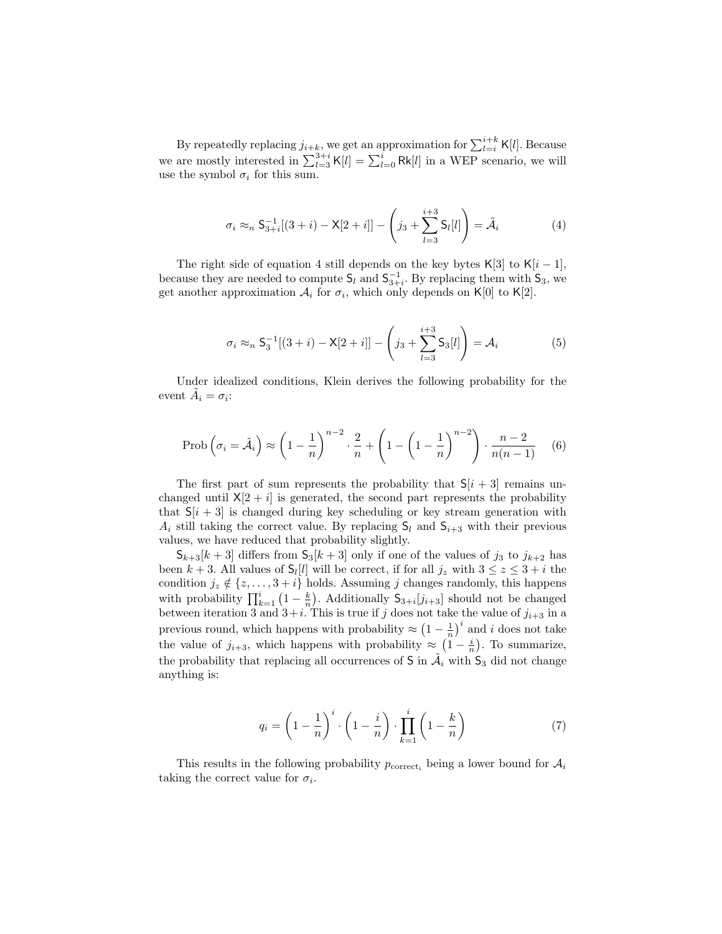By repeatedly replacing  $j_{i+k}$ , we get an approximation for  $\sum_{l=i}^{i+k} K[l]$ . Because we are mostly interested in  $\sum_{l=3}^{3+i} K[l] = \sum_{l=0}^{i} Rk[l]$  in a WEP scenario, we will use the symbol  $\sigma_i$  for this sum.

$$
\sigma_i \approx_n \mathsf{S}_{3+i}^{-1}[(3+i) - \mathsf{X}[2+i]] - \left(j_3 + \sum_{l=3}^{i+3} \mathsf{S}_l[l]\right) = \tilde{\mathcal{A}}_i \tag{4}
$$

The right side of equation 4 still depends on the key bytes K[3] to K[i – 1], because they are needed to compute  $\mathsf{S}_l$  and  $\mathsf{S}_{3+i}^{-1}$ . By replacing them with  $\mathsf{S}_3$ , we get another approximation  $A_i$  for  $\sigma_i$ , which only depends on K[0] to K[2].

$$
\sigma_i \approx_n \mathsf{S}_3^{-1}[(3+i) - \mathsf{X}[2+i]] - \left(j_3 + \sum_{l=3}^{i+3} \mathsf{S}_3[l]\right) = \mathcal{A}_i \tag{5}
$$

Under idealized conditions, Klein derives the following probability for the event  $\tilde{A}_i = \sigma_i$ :

$$
\text{Prob}\left(\sigma_i = \tilde{\mathcal{A}}_i\right) \approx \left(1 - \frac{1}{n}\right)^{n-2} \cdot \frac{2}{n} + \left(1 - \left(1 - \frac{1}{n}\right)^{n-2}\right) \cdot \frac{n-2}{n(n-1)} \tag{6}
$$

The first part of sum represents the probability that  $S[i + 3]$  remains unchanged until  $X[2 + i]$  is generated, the second part represents the probability that  $S[i + 3]$  is changed during key scheduling or key stream generation with  $A_i$  still taking the correct value. By replacing  $S_l$  and  $S_{i+3}$  with their previous values, we have reduced that probability slightly.

 $S_{k+3}[k+3]$  differs from  $S_3[k+3]$  only if one of the values of  $j_3$  to  $j_{k+2}$  has been  $k + 3$ . All values of  $\mathsf{S}_l[l]$  will be correct, if for all  $j_z$  with  $3 \leq z \leq 3 + i$  the condition  $j_z \notin \{z, \ldots, 3+i\}$  holds. Assuming j changes randomly, this happens with probability  $\prod_{k=1}^{i} (1 - \frac{k}{n})$ . Additionally  $S_{3+i}[j_{i+3}]$  should not be changed between iteration 3 and  $3+i$ . This is true if j does not take the value of  $j_{i+3}$  in a previous round, which happens with probability  $\approx \left(1 - \frac{1}{n}\right)^i$  and i does not take the value of  $j_{i+3}$ , which happens with probability  $\approx (1 - \frac{i}{n})$ . To summarize, the probability that replacing all occurrences of S in  $\tilde{A}_i$  with  $S_3$  did not change anything is:

$$
q_i = \left(1 - \frac{1}{n}\right)^i \cdot \left(1 - \frac{i}{n}\right) \cdot \prod_{k=1}^i \left(1 - \frac{k}{n}\right) \tag{7}
$$

This results in the following probability  $p_{\text{correct}_i}$  being a lower bound for  $A_i$ taking the correct value for  $\sigma_i$ .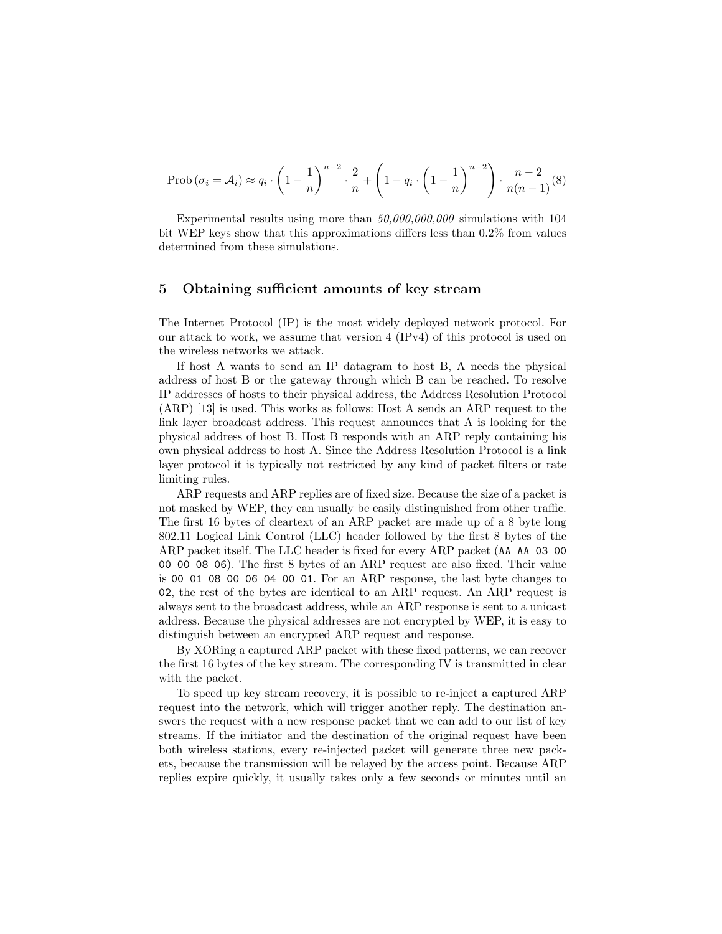$$
\text{Prob}\left(\sigma_{i} = \mathcal{A}_{i}\right) \approx q_{i} \cdot \left(1 - \frac{1}{n}\right)^{n-2} \cdot \frac{2}{n} + \left(1 - q_{i} \cdot \left(1 - \frac{1}{n}\right)^{n-2}\right) \cdot \frac{n-2}{n(n-1)}(8)
$$

Experimental results using more than  $50,000,000,000$  simulations with 104 bit WEP keys show that this approximations differs less than 0.2% from values determined from these simulations.

# 5 Obtaining sufficient amounts of key stream

The Internet Protocol (IP) is the most widely deployed network protocol. For our attack to work, we assume that version 4 (IPv4) of this protocol is used on the wireless networks we attack.

If host A wants to send an IP datagram to host B, A needs the physical address of host B or the gateway through which B can be reached. To resolve IP addresses of hosts to their physical address, the Address Resolution Protocol (ARP) [13] is used. This works as follows: Host A sends an ARP request to the link layer broadcast address. This request announces that A is looking for the physical address of host B. Host B responds with an ARP reply containing his own physical address to host A. Since the Address Resolution Protocol is a link layer protocol it is typically not restricted by any kind of packet filters or rate limiting rules.

ARP requests and ARP replies are of fixed size. Because the size of a packet is not masked by WEP, they can usually be easily distinguished from other traffic. The first 16 bytes of cleartext of an ARP packet are made up of a 8 byte long 802.11 Logical Link Control (LLC) header followed by the first 8 bytes of the ARP packet itself. The LLC header is fixed for every ARP packet (AA AA 03 00 00 00 08 06). The first 8 bytes of an ARP request are also fixed. Their value is 00 01 08 00 06 04 00 01. For an ARP response, the last byte changes to 02, the rest of the bytes are identical to an ARP request. An ARP request is always sent to the broadcast address, while an ARP response is sent to a unicast address. Because the physical addresses are not encrypted by WEP, it is easy to distinguish between an encrypted ARP request and response.

By XORing a captured ARP packet with these fixed patterns, we can recover the first 16 bytes of the key stream. The corresponding IV is transmitted in clear with the packet.

To speed up key stream recovery, it is possible to re-inject a captured ARP request into the network, which will trigger another reply. The destination answers the request with a new response packet that we can add to our list of key streams. If the initiator and the destination of the original request have been both wireless stations, every re-injected packet will generate three new packets, because the transmission will be relayed by the access point. Because ARP replies expire quickly, it usually takes only a few seconds or minutes until an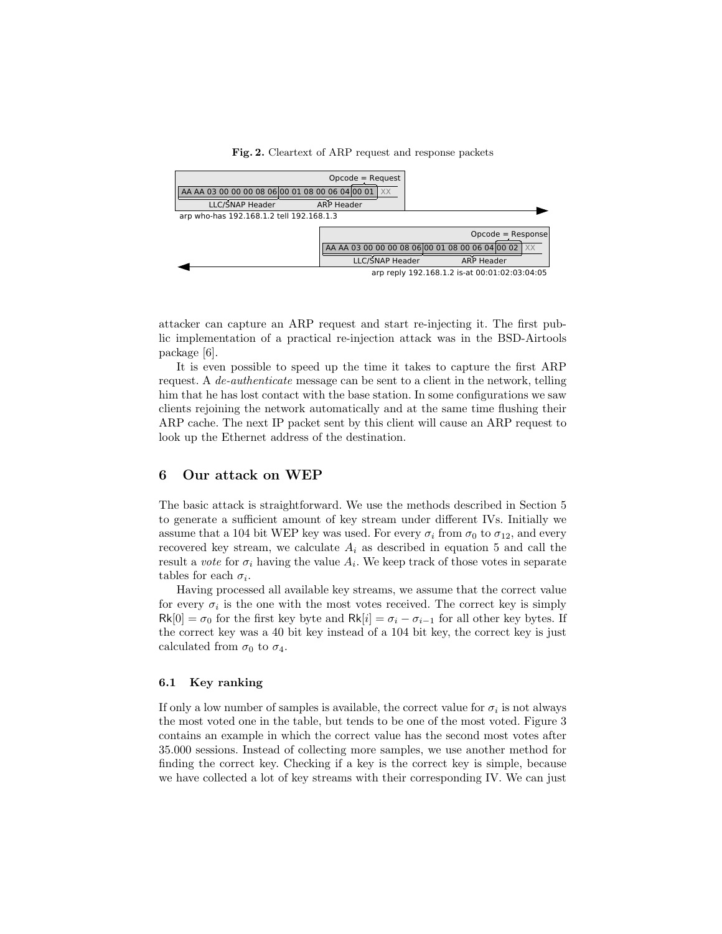

Fig. 2. Cleartext of ARP request and response packets

attacker can capture an ARP request and start re-injecting it. The first public implementation of a practical re-injection attack was in the BSD-Airtools package [6].

It is even possible to speed up the time it takes to capture the first ARP request. A de-authenticate message can be sent to a client in the network, telling him that he has lost contact with the base station. In some configurations we saw clients rejoining the network automatically and at the same time flushing their ARP cache. The next IP packet sent by this client will cause an ARP request to look up the Ethernet address of the destination.

## 6 Our attack on WEP

The basic attack is straightforward. We use the methods described in Section 5 to generate a sufficient amount of key stream under different IVs. Initially we assume that a 104 bit WEP key was used. For every  $\sigma_i$  from  $\sigma_0$  to  $\sigma_{12}$ , and every recovered key stream, we calculate  $A_i$  as described in equation 5 and call the result a *vote* for  $\sigma_i$  having the value  $A_i$ . We keep track of those votes in separate tables for each  $\sigma_i$ .

Having processed all available key streams, we assume that the correct value for every  $\sigma_i$  is the one with the most votes received. The correct key is simply  $Rk[0] = \sigma_0$  for the first key byte and  $Rk[i] = \sigma_i - \sigma_{i-1}$  for all other key bytes. If the correct key was a 40 bit key instead of a 104 bit key, the correct key is just calculated from  $\sigma_0$  to  $\sigma_4$ .

#### 6.1 Key ranking

If only a low number of samples is available, the correct value for  $\sigma_i$  is not always the most voted one in the table, but tends to be one of the most voted. Figure 3 contains an example in which the correct value has the second most votes after 35.000 sessions. Instead of collecting more samples, we use another method for finding the correct key. Checking if a key is the correct key is simple, because we have collected a lot of key streams with their corresponding IV. We can just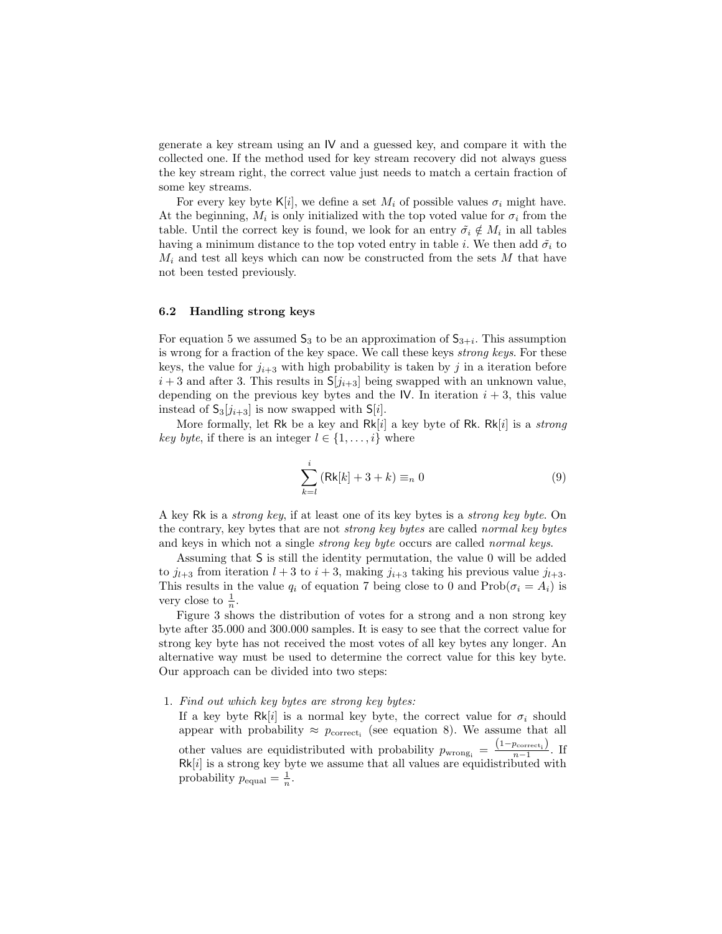generate a key stream using an IV and a guessed key, and compare it with the collected one. If the method used for key stream recovery did not always guess the key stream right, the correct value just needs to match a certain fraction of some key streams.

For every key byte K[i], we define a set  $M_i$  of possible values  $\sigma_i$  might have. At the beginning,  $M_i$  is only initialized with the top voted value for  $\sigma_i$  from the table. Until the correct key is found, we look for an entry  $\tilde{\sigma}_i \notin M_i$  in all tables having a minimum distance to the top voted entry in table i. We then add  $\tilde{\sigma}_i$  to  $M_i$  and test all keys which can now be constructed from the sets M that have not been tested previously.

## 6.2 Handling strong keys

For equation 5 we assumed  $\mathsf{S}_3$  to be an approximation of  $\mathsf{S}_{3+i}$ . This assumption is wrong for a fraction of the key space. We call these keys strong keys. For these keys, the value for  $j_{i+3}$  with high probability is taken by j in a iteration before  $i+3$  and after 3. This results in  $S[j_{i+3}]$  being swapped with an unknown value, depending on the previous key bytes and the IV. In iteration  $i + 3$ , this value instead of  $S_3[j_{i+3}]$  is now swapped with  $S[i]$ .

More formally, let Rk be a key and  $Rk[i]$  a key byte of Rk.  $Rk[i]$  is a *strong* key byte, if there is an integer  $l \in \{1, \ldots, i\}$  where

$$
\sum_{k=l}^{i} \left( Rk[k] + 3 + k \right) \equiv_n 0 \tag{9}
$$

A key Rk is a strong key, if at least one of its key bytes is a strong key byte. On the contrary, key bytes that are not strong key bytes are called normal key bytes and keys in which not a single strong key byte occurs are called normal keys.

Assuming that S is still the identity permutation, the value 0 will be added to  $j_{l+3}$  from iteration  $l + 3$  to  $i + 3$ , making  $j_{i+3}$  taking his previous value  $j_{l+3}$ . This results in the value  $q_i$  of equation 7 being close to 0 and  $\text{Prob}(\sigma_i = A_i)$  is very close to  $\frac{1}{n}$ .

Figure 3 shows the distribution of votes for a strong and a non strong key byte after 35.000 and 300.000 samples. It is easy to see that the correct value for strong key byte has not received the most votes of all key bytes any longer. An alternative way must be used to determine the correct value for this key byte. Our approach can be divided into two steps:

### 1. Find out which key bytes are strong key bytes:

If a key byte Rk[i] is a normal key byte, the correct value for  $\sigma_i$  should appear with probability  $\approx p_{\text{correct}_i}$  (see equation 8). We assume that all other values are equidistributed with probability  $p_{\text{wrong}_i} = \frac{(1-p_{\text{correct}_i})}{n-1}$ . If  $Rk[i]$  is a strong key byte we assume that all values are equidistributed with probability  $p_{\text{equal}} = \frac{1}{n}$ .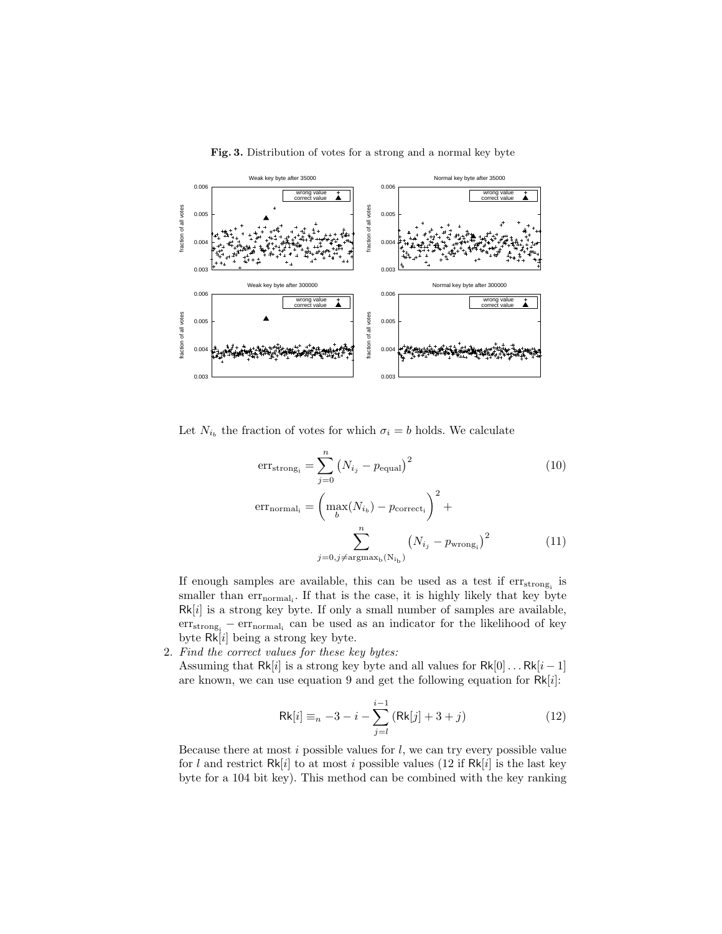

Fig. 3. Distribution of votes for a strong and a normal key byte

Let  $N_{i_b}$  the fraction of votes for which  $\sigma_i = b$  holds. We calculate

$$
errstrongi = \sum_{j=0}^{n} (N_{i_j} - pequal)^2
$$
 (10)  
\n
$$
errnormali = \left(\max_b(N_{i_b}) - pcorrecti\right)^2 + \sum_{j=0, j \neq argmax_b(N_{i_b})}^{n} (N_{i_j} - pwrongi)^2
$$
 (11)

If enough samples are available, this can be used as a test if  $\mathrm{err}_{\mathrm{strong}_i}$  is smaller than  $err_{normal_i}$ . If that is the case, it is highly likely that key byte  $Rk[i]$  is a strong key byte. If only a small number of samples are available, err<sub>strong<sub>i</sub> – err<sub>normal<sub>i</sub> can be used as an indicator for the likelihood of key</sub></sub> byte  $\overline{\text{Rk}[i]}$  being a strong key byte.

2. Find the correct values for these key bytes:

Assuming that Rk[i] is a strong key byte and all values for  $Rk[0] \dots Rk[i-1]$ are known, we can use equation 9 and get the following equation for  $Rk[i]$ :

$$
Rk[i] \equiv_{n} -3 - i - \sum_{j=l}^{i-1} (Rk[j] + 3 + j)
$$
 (12)

Because there at most  $i$  possible values for  $l$ , we can try every possible value for l and restrict  $Rk[i]$  to at most i possible values (12 if  $Rk[i]$  is the last key byte for a 104 bit key). This method can be combined with the key ranking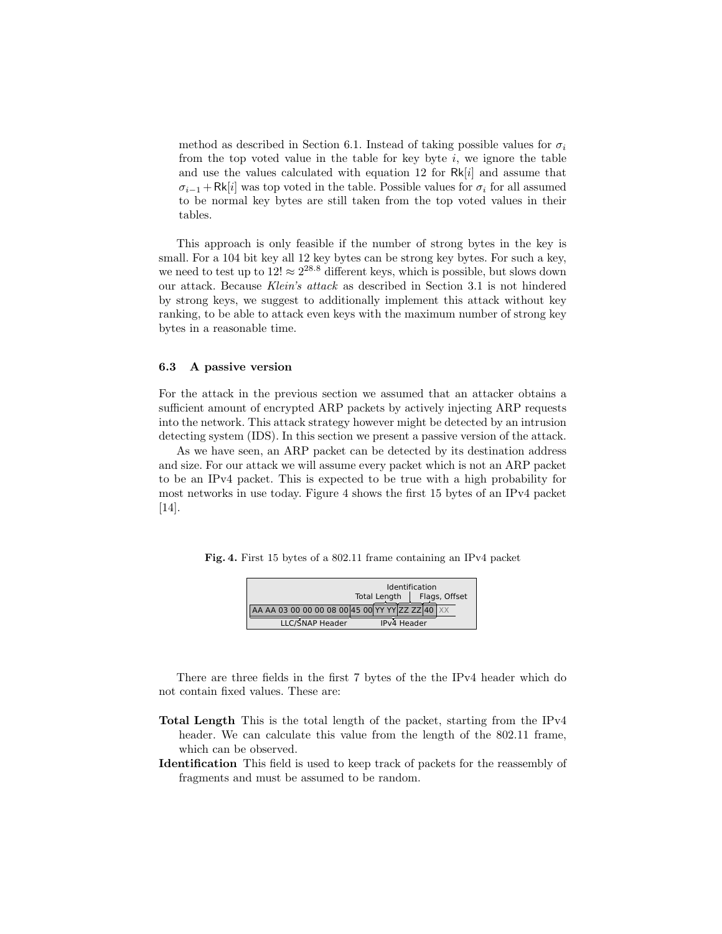method as described in Section 6.1. Instead of taking possible values for  $\sigma_i$ from the top voted value in the table for key byte  $i$ , we ignore the table and use the values calculated with equation 12 for  $Rk[i]$  and assume that  $\sigma_{i-1}$  + Rk[i] was top voted in the table. Possible values for  $\sigma_i$  for all assumed to be normal key bytes are still taken from the top voted values in their tables.

This approach is only feasible if the number of strong bytes in the key is small. For a 104 bit key all 12 key bytes can be strong key bytes. For such a key, we need to test up to  $12! \approx 2^{28.8}$  different keys, which is possible, but slows down our attack. Because Klein's attack as described in Section 3.1 is not hindered by strong keys, we suggest to additionally implement this attack without key ranking, to be able to attack even keys with the maximum number of strong key bytes in a reasonable time.

#### 6.3 A passive version

For the attack in the previous section we assumed that an attacker obtains a sufficient amount of encrypted ARP packets by actively injecting ARP requests into the network. This attack strategy however might be detected by an intrusion detecting system (IDS). In this section we present a passive version of the attack.

As we have seen, an ARP packet can be detected by its destination address and size. For our attack we will assume every packet which is not an ARP packet to be an IPv4 packet. This is expected to be true with a high probability for most networks in use today. Figure 4 shows the first 15 bytes of an IPv4 packet [14].

Fig. 4. First 15 bytes of a 802.11 frame containing an IPv4 packet

| <b>Identification</b><br>Flags, Offset<br><b>Total Length</b> |                                                 |  |  |  |
|---------------------------------------------------------------|-------------------------------------------------|--|--|--|
|                                                               | AA AA 03 00 00 00 08 00 45 00 YY YY ZZ ZZ 40 XX |  |  |  |
| <b>LLC/SNAP Header</b>                                        | <b>IPv4 Header</b>                              |  |  |  |

There are three fields in the first 7 bytes of the the IPv4 header which do not contain fixed values. These are:

- Total Length This is the total length of the packet, starting from the IPv4 header. We can calculate this value from the length of the 802.11 frame, which can be observed.
- Identification This field is used to keep track of packets for the reassembly of fragments and must be assumed to be random.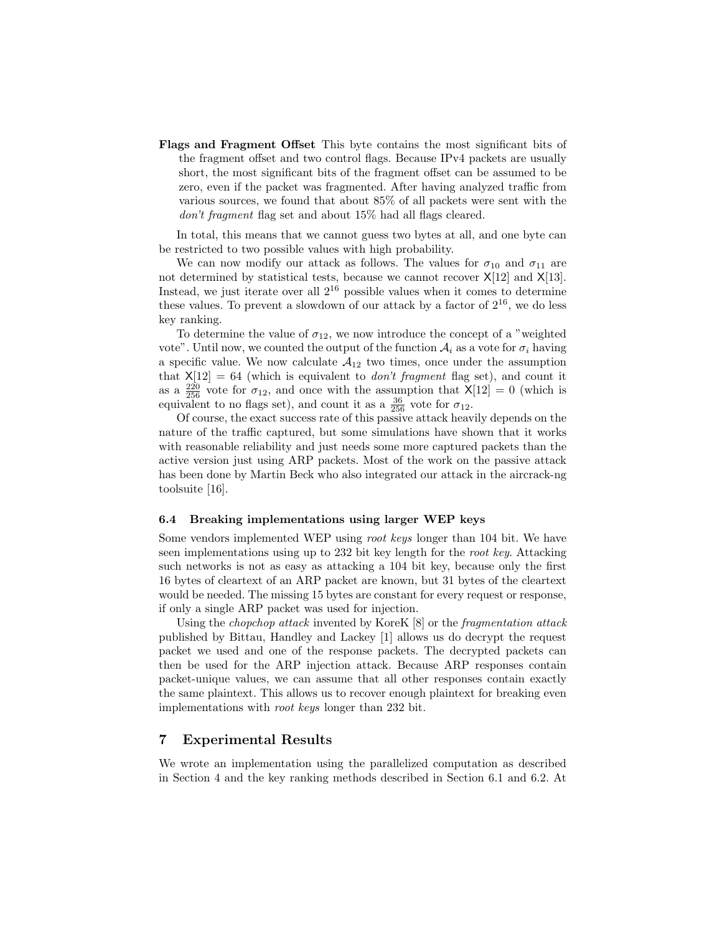Flags and Fragment Offset This byte contains the most significant bits of the fragment offset and two control flags. Because IPv4 packets are usually short, the most significant bits of the fragment offset can be assumed to be zero, even if the packet was fragmented. After having analyzed traffic from various sources, we found that about 85% of all packets were sent with the don't fragment flag set and about 15% had all flags cleared.

In total, this means that we cannot guess two bytes at all, and one byte can be restricted to two possible values with high probability.

We can now modify our attack as follows. The values for  $\sigma_{10}$  and  $\sigma_{11}$  are not determined by statistical tests, because we cannot recover  $X[12]$  and  $X[13]$ . Instead, we just iterate over all  $2^{16}$  possible values when it comes to determine these values. To prevent a slowdown of our attack by a factor of  $2^{16}$ , we do less key ranking.

To determine the value of  $\sigma_{12}$ , we now introduce the concept of a "weighted" vote". Until now, we counted the output of the function  $A_i$  as a vote for  $\sigma_i$  having a specific value. We now calculate  $A_{12}$  two times, once under the assumption that  $X[12] = 64$  (which is equivalent to *don't fragment* flag set), and count it as a  $\frac{220}{256}$  vote for  $\sigma_{12}$ , and once with the assumption that  $X[12] = 0$  (which is equivalent to no flags set), and count it as a  $\frac{36}{256}$  vote for  $\sigma_{12}$ .

Of course, the exact success rate of this passive attack heavily depends on the nature of the traffic captured, but some simulations have shown that it works with reasonable reliability and just needs some more captured packets than the active version just using ARP packets. Most of the work on the passive attack has been done by Martin Beck who also integrated our attack in the aircrack-ng toolsuite [16].

#### 6.4 Breaking implementations using larger WEP keys

Some vendors implemented WEP using root keys longer than 104 bit. We have seen implementations using up to 232 bit key length for the root key. Attacking such networks is not as easy as attacking a 104 bit key, because only the first 16 bytes of cleartext of an ARP packet are known, but 31 bytes of the cleartext would be needed. The missing 15 bytes are constant for every request or response, if only a single ARP packet was used for injection.

Using the chopchop attack invented by KoreK [8] or the fragmentation attack published by Bittau, Handley and Lackey [1] allows us do decrypt the request packet we used and one of the response packets. The decrypted packets can then be used for the ARP injection attack. Because ARP responses contain packet-unique values, we can assume that all other responses contain exactly the same plaintext. This allows us to recover enough plaintext for breaking even implementations with root keys longer than 232 bit.

# 7 Experimental Results

We wrote an implementation using the parallelized computation as described in Section 4 and the key ranking methods described in Section 6.1 and 6.2. At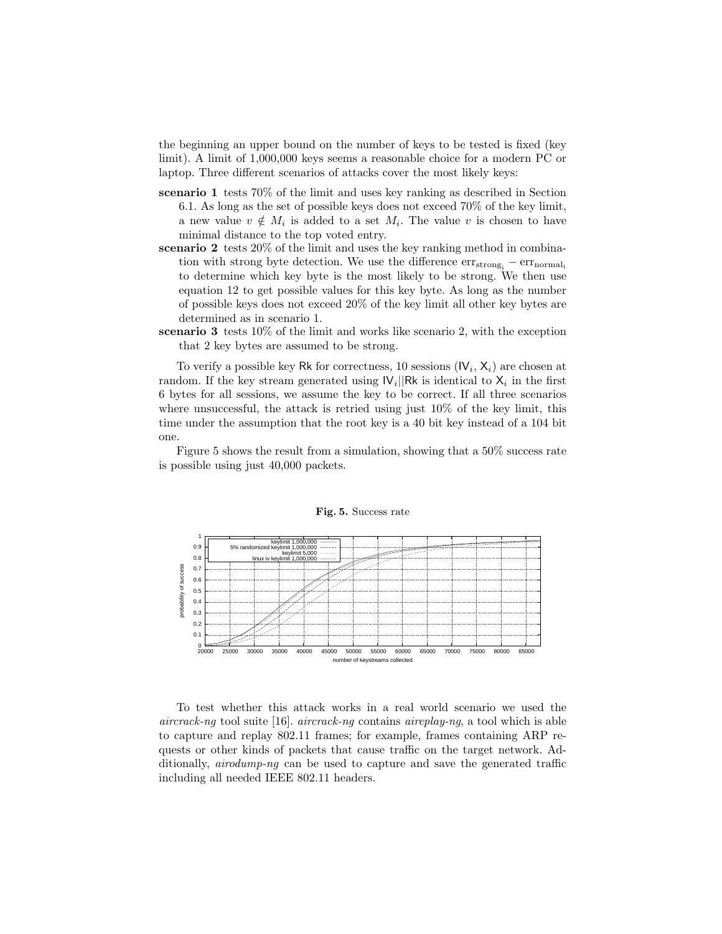the beginning an upper bound on the number of keys to be tested is fixed (key limit). A limit of 1,000,000 keys seems a reasonable choice for a modern PC or laptop. Three different scenarios of attacks cover the most likely keys:

- scenario 1 tests 70% of the limit and uses key ranking as described in Section 6.1. As long as the set of possible keys does not exceed 70% of the key limit, a new value  $v \notin M_i$  is added to a set  $M_i$ . The value v is chosen to have minimal distance to the top voted entry.
- scenario 2 tests 20% of the limit and uses the key ranking method in combination with strong byte detection. We use the difference  $err<sub>strongi</sub> - err<sub>normali</sub>$ to determine which key byte is the most likely to be strong. We then use equation 12 to get possible values for this key byte. As long as the number of possible keys does not exceed 20% of the key limit all other key bytes are determined as in scenario 1.
- scenario 3 tests 10% of the limit and works like scenario 2, with the exception that 2 key bytes are assumed to be strong.

To verify a possible key Rk for correctness, 10 sessions  $(V_i, X_i)$  are chosen at random. If the key stream generated using  $|V_i||Rk$  is identical to  $X_i$  in the first 6 bytes for all sessions, we assume the key to be correct. If all three scenarios where unsuccessful, the attack is retried using just  $10\%$  of the key limit, this time under the assumption that the root key is a 40 bit key instead of a 104 bit one.

Figure 5 shows the result from a simulation, showing that a 50% success rate is possible using just 40,000 packets.



Fig. 5. Success rate

To test whether this attack works in a real world scenario we used the aircrack-ng tool suite [16]. aircrack-ng contains aircrack-ng, a tool which is able to capture and replay 802.11 frames; for example, frames containing ARP requests or other kinds of packets that cause traffic on the target network. Additionally, *airodump-ng* can be used to capture and save the generated traffic including all needed IEEE 802.11 headers.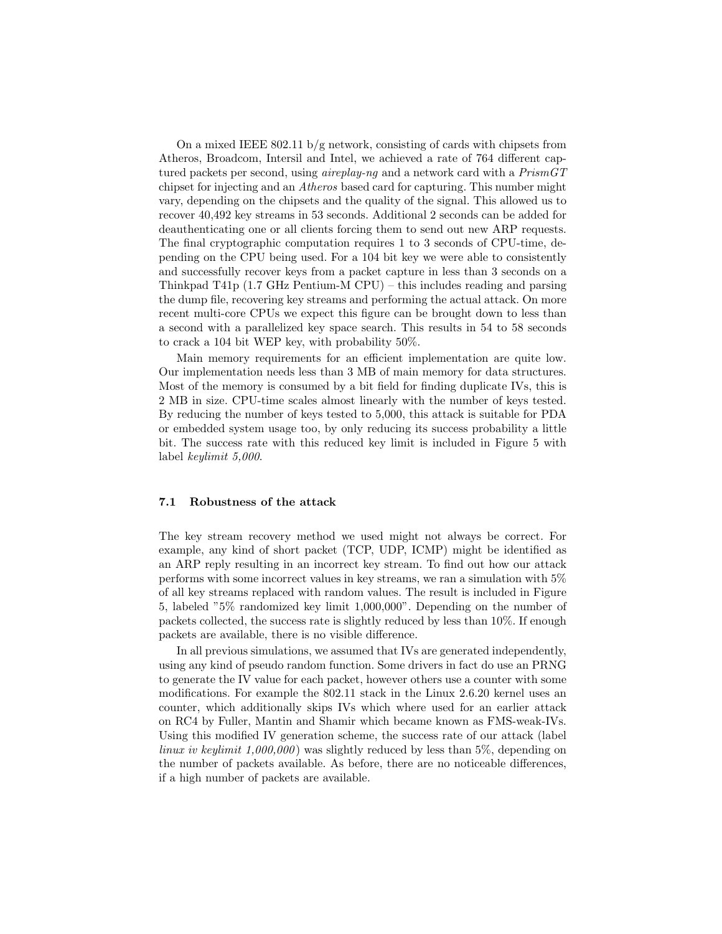On a mixed IEEE  $802.11 \mathrm{b/g}$  network, consisting of cards with chipsets from Atheros, Broadcom, Intersil and Intel, we achieved a rate of 764 different captured packets per second, using *aireplay-ng* and a network card with a PrismGT chipset for injecting and an Atheros based card for capturing. This number might vary, depending on the chipsets and the quality of the signal. This allowed us to recover 40,492 key streams in 53 seconds. Additional 2 seconds can be added for deauthenticating one or all clients forcing them to send out new ARP requests. The final cryptographic computation requires 1 to 3 seconds of CPU-time, depending on the CPU being used. For a 104 bit key we were able to consistently and successfully recover keys from a packet capture in less than 3 seconds on a Thinkpad T41p (1.7 GHz Pentium-M CPU) – this includes reading and parsing the dump file, recovering key streams and performing the actual attack. On more recent multi-core CPUs we expect this figure can be brought down to less than a second with a parallelized key space search. This results in 54 to 58 seconds to crack a 104 bit WEP key, with probability 50%.

Main memory requirements for an efficient implementation are quite low. Our implementation needs less than 3 MB of main memory for data structures. Most of the memory is consumed by a bit field for finding duplicate IVs, this is 2 MB in size. CPU-time scales almost linearly with the number of keys tested. By reducing the number of keys tested to 5,000, this attack is suitable for PDA or embedded system usage too, by only reducing its success probability a little bit. The success rate with this reduced key limit is included in Figure 5 with label keylimit 5,000.

## 7.1 Robustness of the attack

The key stream recovery method we used might not always be correct. For example, any kind of short packet (TCP, UDP, ICMP) might be identified as an ARP reply resulting in an incorrect key stream. To find out how our attack performs with some incorrect values in key streams, we ran a simulation with 5% of all key streams replaced with random values. The result is included in Figure 5, labeled "5% randomized key limit 1,000,000". Depending on the number of packets collected, the success rate is slightly reduced by less than 10%. If enough packets are available, there is no visible difference.

In all previous simulations, we assumed that IVs are generated independently, using any kind of pseudo random function. Some drivers in fact do use an PRNG to generate the IV value for each packet, however others use a counter with some modifications. For example the 802.11 stack in the Linux 2.6.20 kernel uses an counter, which additionally skips IVs which where used for an earlier attack on RC4 by Fuller, Mantin and Shamir which became known as FMS-weak-IVs. Using this modified IV generation scheme, the success rate of our attack (label linux iv keylimit  $1,000,000$  was slightly reduced by less than 5%, depending on the number of packets available. As before, there are no noticeable differences, if a high number of packets are available.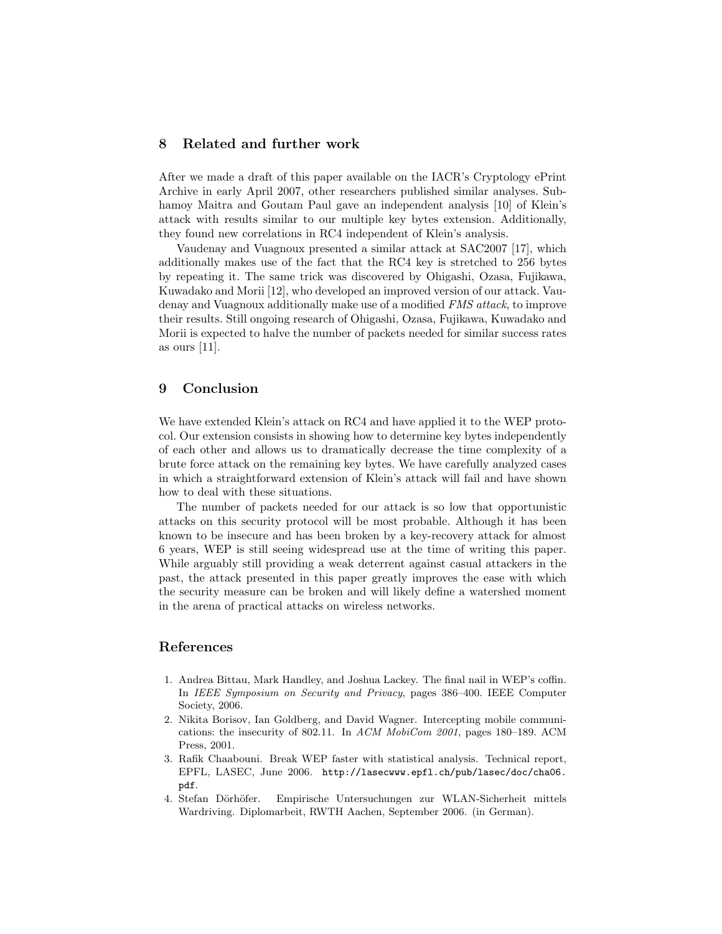## 8 Related and further work

After we made a draft of this paper available on the IACR's Cryptology ePrint Archive in early April 2007, other researchers published similar analyses. Subhamoy Maitra and Goutam Paul gave an independent analysis [10] of Klein's attack with results similar to our multiple key bytes extension. Additionally, they found new correlations in RC4 independent of Klein's analysis.

Vaudenay and Vuagnoux presented a similar attack at SAC2007 [17], which additionally makes use of the fact that the RC4 key is stretched to 256 bytes by repeating it. The same trick was discovered by Ohigashi, Ozasa, Fujikawa, Kuwadako and Morii [12], who developed an improved version of our attack. Vaudenay and Vuagnoux additionally make use of a modified FMS attack, to improve their results. Still ongoing research of Ohigashi, Ozasa, Fujikawa, Kuwadako and Morii is expected to halve the number of packets needed for similar success rates as ours [11].

# 9 Conclusion

We have extended Klein's attack on RC4 and have applied it to the WEP protocol. Our extension consists in showing how to determine key bytes independently of each other and allows us to dramatically decrease the time complexity of a brute force attack on the remaining key bytes. We have carefully analyzed cases in which a straightforward extension of Klein's attack will fail and have shown how to deal with these situations.

The number of packets needed for our attack is so low that opportunistic attacks on this security protocol will be most probable. Although it has been known to be insecure and has been broken by a key-recovery attack for almost 6 years, WEP is still seeing widespread use at the time of writing this paper. While arguably still providing a weak deterrent against casual attackers in the past, the attack presented in this paper greatly improves the ease with which the security measure can be broken and will likely define a watershed moment in the arena of practical attacks on wireless networks.

## References

- 1. Andrea Bittau, Mark Handley, and Joshua Lackey. The final nail in WEP's coffin. In IEEE Symposium on Security and Privacy, pages 386–400. IEEE Computer Society, 2006.
- 2. Nikita Borisov, Ian Goldberg, and David Wagner. Intercepting mobile communications: the insecurity of 802.11. In ACM MobiCom 2001, pages 180–189. ACM Press, 2001.
- 3. Rafik Chaabouni. Break WEP faster with statistical analysis. Technical report, EPFL, LASEC, June 2006. http://lasecwww.epfl.ch/pub/lasec/doc/cha06. pdf.
- 4. Stefan Dörhöfer. Empirische Untersuchungen zur WLAN-Sicherheit mittels Wardriving. Diplomarbeit, RWTH Aachen, September 2006. (in German).